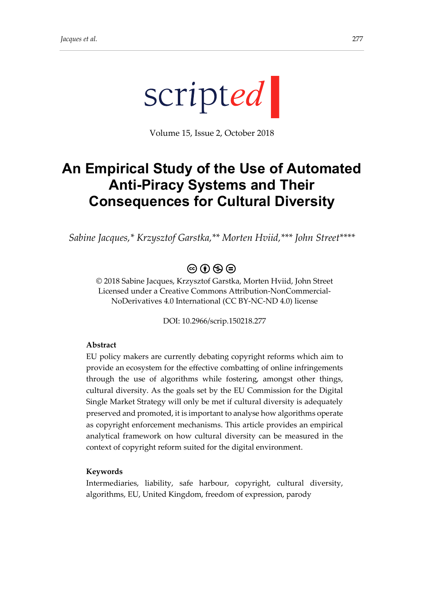

Volume 15, Issue 2, October 2018

# **An Empirical Study of the Use of Automated Anti-Piracy Systems and Their Consequences for Cultural Diversity**

*Sabine Jacques,\* Krzysztof Garstka,\*\* Morten Hviid,\*\*\* John Street\*\*\*\**

# $\circledcirc$   $\circledcirc$   $\circledcirc$

© 2018 Sabine Jacques, Krzysztof Garstka, Morten Hviid, John Street Licensed under a Creative Commons Attribution-NonCommercial-NoDerivatives 4.0 International (CC BY-NC-ND 4.0) license

DOI: 10.2966/scrip.150218.277

## **Abstract**

EU policy makers are currently debating copyright reforms which aim to provide an ecosystem for the effective combatting of online infringements through the use of algorithms while fostering, amongst other things, cultural diversity. As the goals set by the EU Commission for the Digital Single Market Strategy will only be met if cultural diversity is adequately preserved and promoted, it is important to analyse how algorithms operate as copyright enforcement mechanisms. This article provides an empirical analytical framework on how cultural diversity can be measured in the context of copyright reform suited for the digital environment.

## **Keywords**

Intermediaries, liability, safe harbour, copyright, cultural diversity, algorithms, EU, United Kingdom, freedom of expression, parody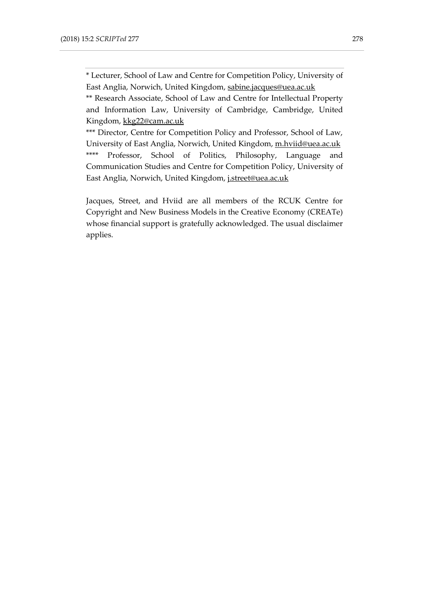\* Lecturer, School of Law and Centre for Competition Policy, University of East Anglia, Norwich, United Kingdom, [sabine.jacques@uea.ac.uk](mailto:sabine.jacques@uea.ac.uk)

\*\* Research Associate, School of Law and Centre for Intellectual Property and Information Law, University of Cambridge, Cambridge, United Kingdom[, kkg22@cam.ac.uk](mailto:kkg22@cam.ac.uk)

\*\*\* Director, Centre for Competition Policy and Professor, School of Law, University of East Anglia, Norwich, United Kingdom, [m.hviid@uea.ac.uk](mailto:m.hviid@uea.ac.uk) \*\*\*\* Professor, School of Politics, Philosophy, Language and Communication Studies and Centre for Competition Policy, University of East Anglia, Norwich, United Kingdom, [j.street@uea.ac.uk](mailto:j.street@uea.ac.uk)

Jacques, Street, and Hviid are all members of the RCUK Centre for Copyright and New Business Models in the Creative Economy (CREATe) whose financial support is gratefully acknowledged. The usual disclaimer applies.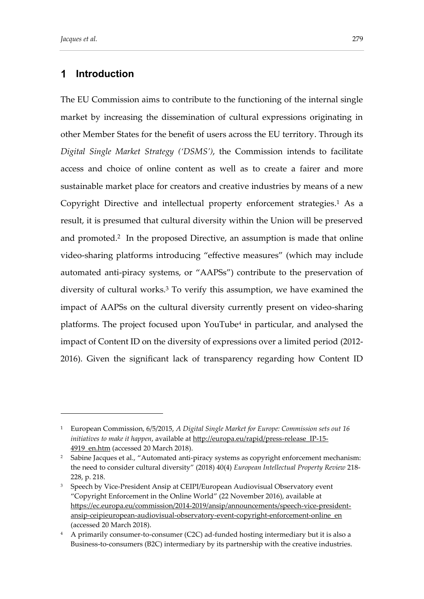#### $\mathbf 1$ **Introduction**

The EU Commission aims to contribute to the functioning of the internal single market by increasing the dissemination of cultural expressions originating in other Member States for the benefit of users across the EU territory. Through its *Digital Single Market Strategy ('DSMS')*, the Commission intends to facilitate access and choice of online content as well as to create a fairer and more sustainable market place for creators and creative industries by means of a new Copyright Directive and intellectual property enforcement strategies. <sup>1</sup> As a result, it is presumed that cultural diversity within the Union will be preserved and promoted.<sup>2</sup> In the proposed Directive, an assumption is made that online video-sharing platforms introducing "effective measures" (which may include automated anti-piracy systems, or "AAPSs") contribute to the preservation of diversity of cultural works.<sup>3</sup> To verify this assumption, we have examined the impact of AAPSs on the cultural diversity currently present on video-sharing platforms. The project focused upon YouTube<sup>4</sup> in particular, and analysed the impact of Content ID on the diversity of expressions over a limited period (2012- 2016). Given the significant lack of transparency regarding how Content ID

<sup>1</sup> European Commission, 6/5/2015, *A Digital Single Market for Europe: Commission sets out 16 initiatives to make it happen*, available at [http://europa.eu/rapid/press-release\\_IP-15-](http://europa.eu/rapid/press-release_IP-15-4919_en.htm) [4919\\_en.htm](http://europa.eu/rapid/press-release_IP-15-4919_en.htm) (accessed 20 March 2018).

<sup>&</sup>lt;sup>2</sup> Sabine Jacques et al., "Automated anti-piracy systems as copyright enforcement mechanism: the need to consider cultural diversity" (2018) 40(4) *European Intellectual Property Review* 218- 228, p. 218.

<sup>&</sup>lt;sup>3</sup> Speech by Vice-President Ansip at CEIPI/European Audiovisual Observatory event "Copyright Enforcement in the Online World" (22 November 2016), available at [https://ec.europa.eu/commission/2014-2019/ansip/announcements/speech-vice-president](https://ec.europa.eu/commission/2014-2019/ansip/announcements/speech-vice-president-ansip-ceipieuropean-audiovisual-observatory-event-copyright-enforcement-online_en)[ansip-ceipieuropean-audiovisual-observatory-event-copyright-enforcement-online\\_en](https://ec.europa.eu/commission/2014-2019/ansip/announcements/speech-vice-president-ansip-ceipieuropean-audiovisual-observatory-event-copyright-enforcement-online_en) (accessed 20 March 2018).

<sup>4</sup> A primarily consumer-to-consumer (C2C) ad-funded hosting intermediary but it is also a Business-to-consumers (B2C) intermediary by its partnership with the creative industries.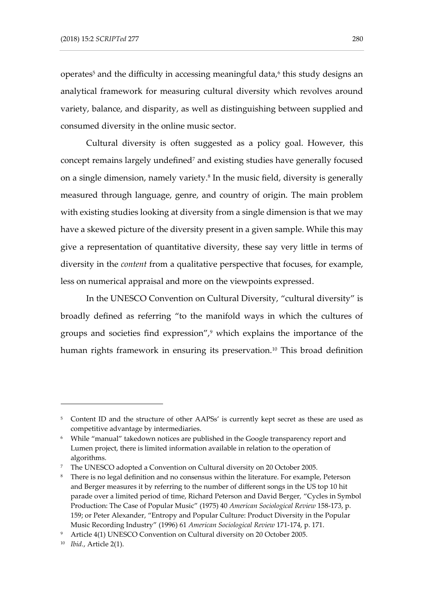operates $^5$  and the difficulty in accessing meaningful data, $^6$  this study designs an analytical framework for measuring cultural diversity which revolves around variety, balance, and disparity, as well as distinguishing between supplied and consumed diversity in the online music sector.

Cultural diversity is often suggested as a policy goal. However, this concept remains largely undefined<sup>7</sup> and existing studies have generally focused on a single dimension, namely variety. 8 In the music field, diversity is generally measured through language, genre, and country of origin. The main problem with existing studies looking at diversity from a single dimension is that we may have a skewed picture of the diversity present in a given sample. While this may give a representation of quantitative diversity, these say very little in terms of diversity in the *content* from a qualitative perspective that focuses, for example, less on numerical appraisal and more on the viewpoints expressed.

In the UNESCO Convention on Cultural Diversity, "cultural diversity" is broadly defined as referring "to the manifold ways in which the cultures of groups and societies find expression",<sup>9</sup> which explains the importance of the human rights framework in ensuring its preservation.<sup>10</sup> This broad definition

<sup>&</sup>lt;sup>5</sup> Content ID and the structure of other AAPSs' is currently kept secret as these are used as competitive advantage by intermediaries.

<sup>6</sup> While "manual" takedown notices are published in the Google transparency report and Lumen project, there is limited information available in relation to the operation of algorithms.

<sup>7</sup> The UNESCO adopted a Convention on Cultural diversity on 20 October 2005.

<sup>&</sup>lt;sup>8</sup> There is no legal definition and no consensus within the literature. For example, Peterson and Berger measures it by referring to the number of different songs in the US top 10 hit parade over a limited period of time, Richard Peterson and David Berger, "Cycles in Symbol Production: The Case of Popular Music" (1975) 40 *American Sociological Review* 158-173, p. 159; or Peter Alexander, "Entropy and Popular Culture: Product Diversity in the Popular Music Recording Industry" (1996) 61 *American Sociological Review* 171-174, p. 171.

<sup>9</sup> Article 4(1) UNESCO Convention on Cultural diversity on 20 October 2005.

<sup>10</sup> *Ibid.*, Article 2(1).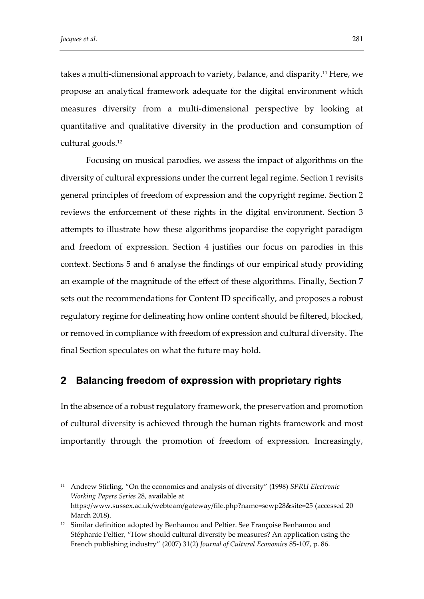takes a multi-dimensional approach to variety, balance, and disparity.<sup>11</sup> Here, we propose an analytical framework adequate for the digital environment which measures diversity from a multi-dimensional perspective by looking at quantitative and qualitative diversity in the production and consumption of cultural goods.<sup>12</sup>

Focusing on musical parodies, we assess the impact of algorithms on the diversity of cultural expressions under the current legal regime. Section 1 revisits general principles of freedom of expression and the copyright regime. Section 2 reviews the enforcement of these rights in the digital environment. Section 3 attempts to illustrate how these algorithms jeopardise the copyright paradigm and freedom of expression. Section 4 justifies our focus on parodies in this context. Sections 5 and 6 analyse the findings of our empirical study providing an example of the magnitude of the effect of these algorithms. Finally, Section 7 sets out the recommendations for Content ID specifically, and proposes a robust regulatory regime for delineating how online content should be filtered, blocked, or removed in compliance with freedom of expression and cultural diversity. The final Section speculates on what the future may hold.

### $\mathbf{2}$ **Balancing freedom of expression with proprietary rights**

In the absence of a robust regulatory framework, the preservation and promotion of cultural diversity is achieved through the human rights framework and most importantly through the promotion of freedom of expression. Increasingly,

<sup>11</sup> Andrew Stirling, "On the economics and analysis of diversity" (1998) *SPRU Electronic Working Papers Series* 28, available at <https://www.sussex.ac.uk/webteam/gateway/file.php?name=sewp28&site=25> (accessed 20 March 2018).

<sup>&</sup>lt;sup>12</sup> Similar definition adopted by Benhamou and Peltier. See Françoise Benhamou and Stéphanie Peltier, "How should cultural diversity be measures? An application using the French publishing industry" (2007) 31(2) *Journal of Cultural Economics* 85-107, p. 86.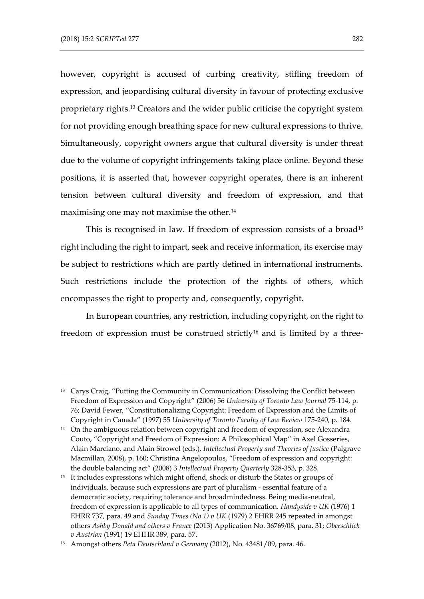however, copyright is accused of curbing creativity, stifling freedom of expression, and jeopardising cultural diversity in favour of protecting exclusive proprietary rights.<sup>13</sup> Creators and the wider public criticise the copyright system for not providing enough breathing space for new cultural expressions to thrive. Simultaneously, copyright owners argue that cultural diversity is under threat due to the volume of copyright infringements taking place online. Beyond these positions, it is asserted that, however copyright operates, there is an inherent tension between cultural diversity and freedom of expression, and that maximising one may not maximise the other.<sup>14</sup>

This is recognised in law. If freedom of expression consists of a broad<sup>15</sup> right including the right to impart, seek and receive information, its exercise may be subject to restrictions which are partly defined in international instruments. Such restrictions include the protection of the rights of others, which encompasses the right to property and, consequently, copyright.

In European countries, any restriction, including copyright, on the right to freedom of expression must be construed strictly<sup>16</sup> and is limited by a three-

<sup>&</sup>lt;sup>13</sup> Carys Craig, "Putting the Community in Communication: Dissolving the Conflict between Freedom of Expression and Copyright" (2006) 56 *University of Toronto Law Journal* 75-114, p. 76; David Fewer, "Constitutionalizing Copyright: Freedom of Expression and the Limits of Copyright in Canada" (1997) 55 *University of Toronto Faculty of Law Review* 175-240, p. 184.

<sup>&</sup>lt;sup>14</sup> On the ambiguous relation between copyright and freedom of expression, see Alexandra Couto, "Copyright and Freedom of Expression: A Philosophical Map" in Axel Gosseries, Alain Marciano, and Alain Strowel (eds.), *Intellectual Property and Theories of Justice* (Palgrave Macmillan, 2008), p. 160; Christina Angelopoulos, "Freedom of expression and copyright: the double balancing act" (2008) 3 *Intellectual Property Quarterly* 328-353, p. 328.

<sup>&</sup>lt;sup>15</sup> It includes expressions which might offend, shock or disturb the States or groups of individuals, because such expressions are part of pluralism - essential feature of a democratic society, requiring tolerance and broadmindedness. Being media-neutral, freedom of expression is applicable to all types of communication. *Handyside v UK* (1976) 1 EHRR 737*,* para. 49 and *Sunday Times (No 1) v UK* (1979) 2 EHRR 245 repeated in amongst others *Ashby Donald and others v France* (2013) Application No. 36769/08, para. 31; *Oberschlick v Austrian* (1991) 19 EHHR 389, para. 57.

<sup>16</sup> Amongst others *Peta Deutschland v Germany* (2012), No. 43481/09, para. 46.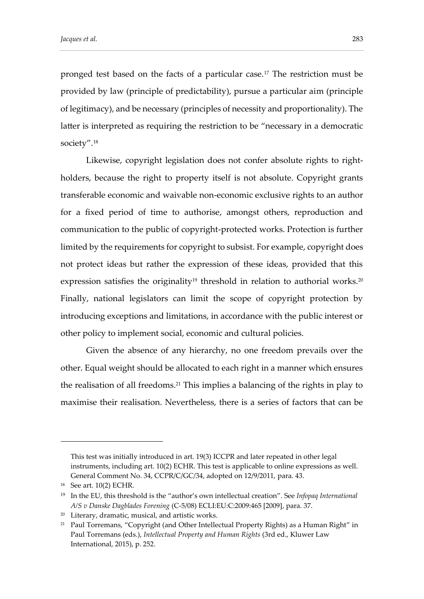pronged test based on the facts of a particular case.<sup>17</sup> The restriction must be provided by law (principle of predictability), pursue a particular aim (principle of legitimacy), and be necessary (principles of necessity and proportionality). The latter is interpreted as requiring the restriction to be "necessary in a democratic society". 18

Likewise, copyright legislation does not confer absolute rights to rightholders, because the right to property itself is not absolute. Copyright grants transferable economic and waivable non-economic exclusive rights to an author for a fixed period of time to authorise, amongst others, reproduction and communication to the public of copyright-protected works. Protection is further limited by the requirements for copyright to subsist. For example, copyright does not protect ideas but rather the expression of these ideas, provided that this expression satisfies the originality<sup>19</sup> threshold in relation to authorial works.<sup>20</sup> Finally, national legislators can limit the scope of copyright protection by introducing exceptions and limitations, in accordance with the public interest or other policy to implement social, economic and cultural policies.

Given the absence of any hierarchy, no one freedom prevails over the other. Equal weight should be allocated to each right in a manner which ensures the realisation of all freedoms. <sup>21</sup> This implies a balancing of the rights in play to maximise their realisation. Nevertheless, there is a series of factors that can be

This test was initially introduced in art. 19(3) ICCPR and later repeated in other legal instruments, including art. 10(2) ECHR. This test is applicable to online expressions as well. General Comment No. 34, CCPR/C/GC/34, adopted on 12/9/2011, para. 43.

<sup>18</sup> See art. 10(2) ECHR.

<sup>19</sup> In the EU, this threshold is the "author's own intellectual creation". See *Infopaq International A/S v Danske Dagblades Forening* (C-5/08) ECLI:EU:C:2009:465 [2009], para. 37.

<sup>20</sup> Literary, dramatic, musical, and artistic works.

<sup>&</sup>lt;sup>21</sup> Paul Torremans, "Copyright (and Other Intellectual Property Rights) as a Human Right" in Paul Torremans (eds.), *Intellectual Property and Human Rights* (3rd ed., Kluwer Law International, 2015), p. 252*.*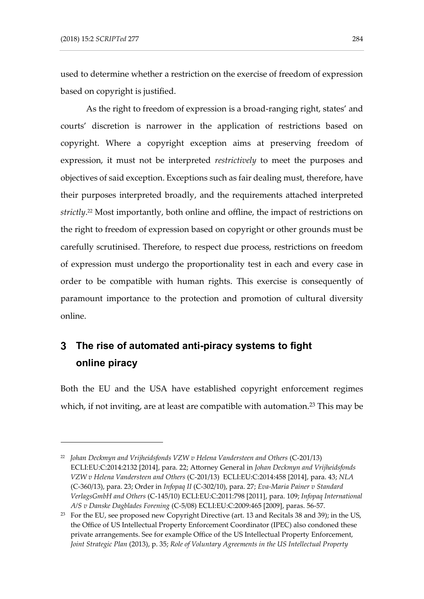used to determine whether a restriction on the exercise of freedom of expression based on copyright is justified.

As the right to freedom of expression is a broad-ranging right, states' and courts' discretion is narrower in the application of restrictions based on copyright. Where a copyright exception aims at preserving freedom of expression, it must not be interpreted *restrictively* to meet the purposes and objectives of said exception. Exceptions such as fair dealing must, therefore, have their purposes interpreted broadly, and the requirements attached interpreted *strictly*. <sup>22</sup> Most importantly, both online and offline, the impact of restrictions on the right to freedom of expression based on copyright or other grounds must be carefully scrutinised. Therefore, to respect due process, restrictions on freedom of expression must undergo the proportionality test in each and every case in order to be compatible with human rights. This exercise is consequently of paramount importance to the protection and promotion of cultural diversity online.

# **The rise of automated anti-piracy systems to fight online piracy**

Both the EU and the USA have established copyright enforcement regimes which, if not inviting, are at least are compatible with automation.<sup>23</sup> This may be

<sup>22</sup> *Johan Deckmyn and Vrijheidsfonds VZW v Helena Vandersteen and Others* (C-201/13) ECLI:EU:C:2014:2132 [2014], para. 22; Attorney General in *Johan Deckmyn and Vrijheidsfonds VZW v Helena Vandersteen and Others* (C-201/13) ECLI:EU:C:2014:458 [2014], para. 43; *NLA* (C-360/13), para. 23; Order in *Infopaq II* (C-302/10), para. 27; *Eva-Maria Painer v Standard VerlagsGmbH and Others* (C-145/10) ECLI:EU:C:2011:798 [2011], para. 109; *Infopaq International A/S v Danske Dagblades Forening* (C-5/08) ECLI:EU:C:2009:465 [2009], paras. 56-57.

<sup>&</sup>lt;sup>23</sup> For the EU, see proposed new Copyright Directive (art. 13 and Recitals 38 and 39); in the US, the Office of US Intellectual Property Enforcement Coordinator (IPEC) also condoned these private arrangements. See for example Office of the US Intellectual Property Enforcement, *Joint Strategic Plan* (2013), p. 35; *Role of Voluntary Agreements in the US Intellectual Property*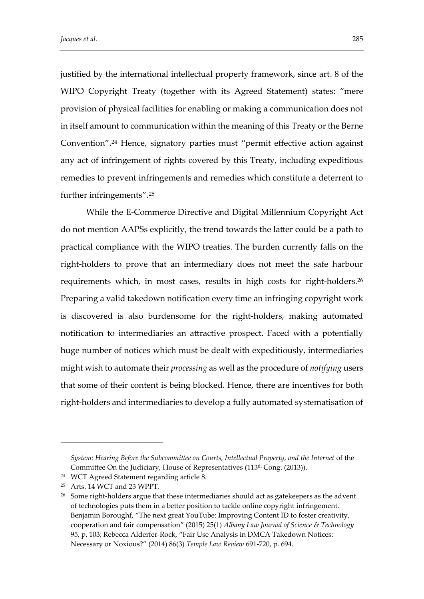justified by the international intellectual property framework, since art. 8 of the WIPO Copyright Treaty (together with its Agreed Statement) states: "mere provision of physical facilities for enabling or making a communication does not in itself amount to communication within the meaning of this Treaty or the Berne Convention".<sup>24</sup> Hence, signatory parties must "permit effective action against any act of infringement of rights covered by this Treaty, including expeditious remedies to prevent infringements and remedies which constitute a deterrent to further infringements". 25

While the E-Commerce Directive and Digital Millennium Copyright Act do not mention AAPSs explicitly, the trend towards the latter could be a path to practical compliance with the WIPO treaties. The burden currently falls on the right-holders to prove that an intermediary does not meet the safe harbour requirements which, in most cases, results in high costs for right-holders.<sup>26</sup> Preparing a valid takedown notification every time an infringing copyright work is discovered is also burdensome for the right-holders, making automated notification to intermediaries an attractive prospect. Faced with a potentially huge number of notices which must be dealt with expeditiously, intermediaries might wish to automate their *processing* as well as the procedure of *notifying* users that some of their content is being blocked. Hence, there are incentives for both right-holders and intermediaries to develop a fully automated systematisation of

*System: Hearing Before the Subcommittee on Courts, Intellectual Property, and the Internet* of the Committee On the Judiciary, House of Representatives (113<sup>th</sup> Cong. (2013)).

<sup>24</sup> WCT Agreed Statement regarding article 8.

<sup>25</sup> Arts. 14 WCT and 23 WPPT.

 $26$  Some right-holders argue that these intermediaries should act as gatekeepers as the advent of technologies puts them in a better position to tackle online copyright infringement. Benjamin Boroughf, "The next great YouTube: Improving Content ID to foster creativity, cooperation and fair compensation" (2015) 25(1) *Albany Law Journal of Science & Technology* 95, p. 103; Rebecca Alderfer-Rock, "Fair Use Analysis in DMCA Takedown Notices: Necessary or Noxious?" (2014) 86(3) *Temple Law Review* 691-720, p. 694.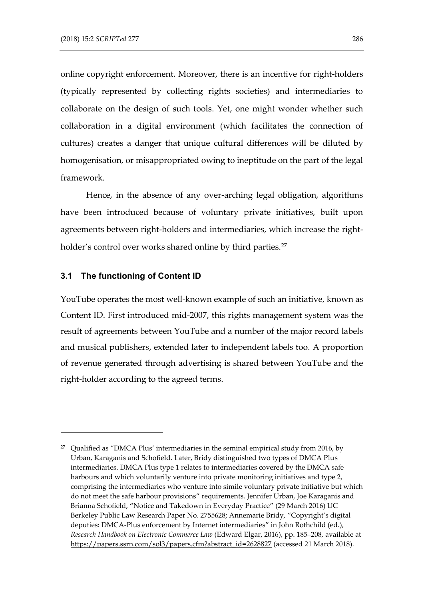online copyright enforcement. Moreover, there is an incentive for right-holders (typically represented by collecting rights societies) and intermediaries to collaborate on the design of such tools. Yet, one might wonder whether such collaboration in a digital environment (which facilitates the connection of cultures) creates a danger that unique cultural differences will be diluted by homogenisation, or misappropriated owing to ineptitude on the part of the legal framework.

Hence, in the absence of any over-arching legal obligation, algorithms have been introduced because of voluntary private initiatives, built upon agreements between right-holders and intermediaries, which increase the rightholder's control over works shared online by third parties.<sup>27</sup>

## **3.1 The functioning of Content ID**

-

YouTube operates the most well-known example of such an initiative, known as Content ID. First introduced mid-2007, this rights management system was the result of agreements between YouTube and a number of the major record labels and musical publishers, extended later to independent labels too. A proportion of revenue generated through advertising is shared between YouTube and the right-holder according to the agreed terms.

 $27$  Qualified as "DMCA Plus' intermediaries in the seminal empirical study from 2016, by Urban, Karaganis and Schofield. Later, Bridy distinguished two types of DMCA Plus intermediaries. DMCA Plus type 1 relates to intermediaries covered by the DMCA safe harbours and which voluntarily venture into private monitoring initiatives and type 2, comprising the intermediaries who venture into simile voluntary private initiative but which do not meet the safe harbour provisions" requirements. Jennifer Urban, Joe Karaganis and Brianna Schofield, "Notice and Takedown in Everyday Practice" (29 March 2016) UC Berkeley Public Law Research Paper No. 2755628; Annemarie Bridy, "Copyright's digital deputies: DMCA-Plus enforcement by Internet intermediaries" in John Rothchild (ed.), *Research Handbook on Electronic Commerce Law* (Edward Elgar, 2016), pp. 185–208, available at [https://papers.ssrn.com/sol3/papers.cfm?abstract\\_id=2628827](https://papers.ssrn.com/sol3/papers.cfm?abstract_id=2628827) (accessed 21 March 2018).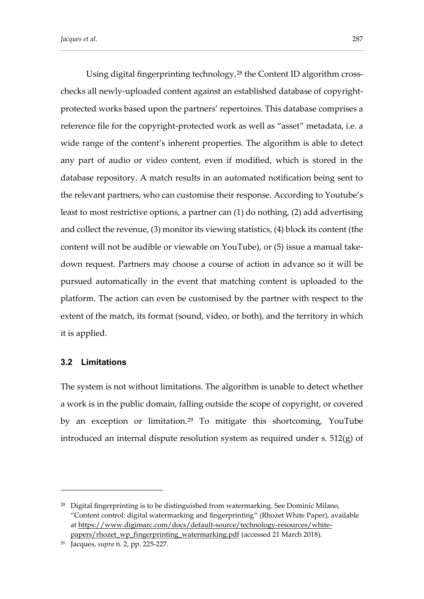Using digital fingerprinting technology,<sup>28</sup> the Content ID algorithm crosschecks all newly-uploaded content against an established database of copyrightprotected works based upon the partners' repertoires. This database comprises a reference file for the copyright-protected work as well as "asset" metadata, i.e. a wide range of the content's inherent properties. The algorithm is able to detect any part of audio or video content, even if modified, which is stored in the database repository. A match results in an automated notification being sent to the relevant partners, who can customise their response. According to Youtube's least to most restrictive options, a partner can (1) do nothing, (2) add advertising and collect the revenue, (3) monitor its viewing statistics, (4) block its content (the content will not be audible or viewable on YouTube), or (5) issue a manual takedown request. Partners may choose a course of action in advance so it will be pursued automatically in the event that matching content is uploaded to the platform. The action can even be customised by the partner with respect to the extent of the match, its format (sound, video, or both), and the territory in which it is applied.

## **3.2 Limitations**

-

The system is not without limitations. The algorithm is unable to detect whether a work is in the public domain, falling outside the scope of copyright, or covered by an exception or limitation.<sup>29</sup> To mitigate this shortcoming, YouTube introduced an internal dispute resolution system as required under s. 512(g) of

<sup>&</sup>lt;sup>28</sup> Digital fingerprinting is to be distinguished from watermarking. See Dominic Milano, "Content control: digital watermarking and fingerprinting" (Rhozet White Paper), available at [https://www.digimarc.com/docs/default-source/technology-resources/white](https://www.digimarc.com/docs/default-source/technology-resources/white-papers/rhozet_wp_fingerprinting_watermarking.pdf)[papers/rhozet\\_wp\\_fingerprinting\\_watermarking.pdf](https://www.digimarc.com/docs/default-source/technology-resources/white-papers/rhozet_wp_fingerprinting_watermarking.pdf) (accessed 21 March 2018).

<sup>29</sup> Jacques, *supra* n. 2, pp. 225-227.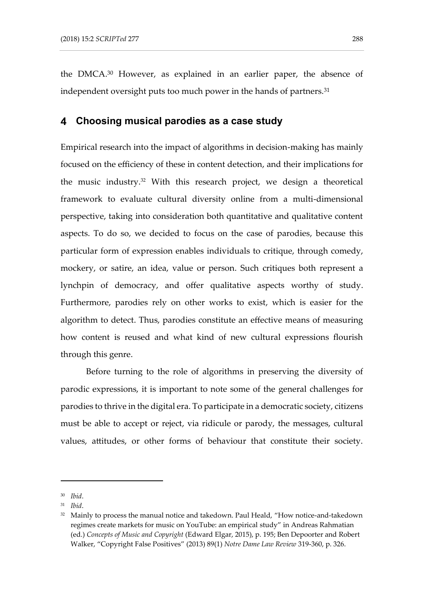the DMCA. <sup>30</sup> However, as explained in an earlier paper, the absence of

#### $\overline{\mathbf{4}}$ **Choosing musical parodies as a case study**

independent oversight puts too much power in the hands of partners.<sup>31</sup>

Empirical research into the impact of algorithms in decision-making has mainly focused on the efficiency of these in content detection, and their implications for the music industry.<sup>32</sup> With this research project, we design a theoretical framework to evaluate cultural diversity online from a multi-dimensional perspective, taking into consideration both quantitative and qualitative content aspects. To do so, we decided to focus on the case of parodies, because this particular form of expression enables individuals to critique, through comedy, mockery, or satire, an idea, value or person. Such critiques both represent a lynchpin of democracy, and offer qualitative aspects worthy of study. Furthermore, parodies rely on other works to exist, which is easier for the algorithm to detect. Thus, parodies constitute an effective means of measuring how content is reused and what kind of new cultural expressions flourish through this genre.

Before turning to the role of algorithms in preserving the diversity of parodic expressions, it is important to note some of the general challenges for parodies to thrive in the digital era. To participate in a democratic society, citizens must be able to accept or reject, via ridicule or parody, the messages, cultural values, attitudes, or other forms of behaviour that constitute their society.

<sup>30</sup> *Ibid*.

<sup>31</sup> *Ibid*.

<sup>&</sup>lt;sup>32</sup> Mainly to process the manual notice and takedown. Paul Heald, "How notice-and-takedown regimes create markets for music on YouTube: an empirical study" in Andreas Rahmatian (ed.) *Concepts of Music and Copyright* (Edward Elgar, 2015), p. 195; Ben Depoorter and Robert Walker, "Copyright False Positives" (2013) 89(1) *Notre Dame Law Review* 319-360, p. 326.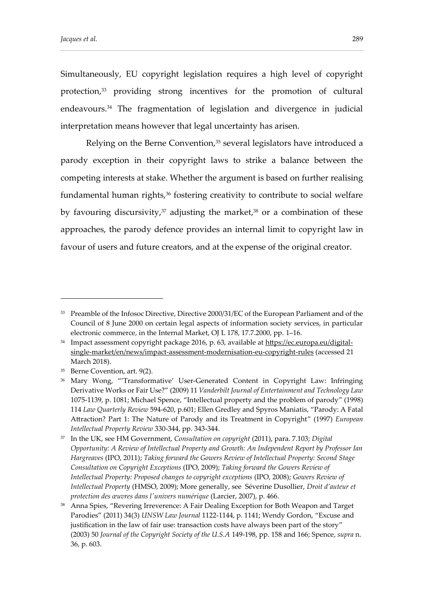Simultaneously, EU copyright legislation requires a high level of copyright protection,<sup>33</sup> providing strong incentives for the promotion of cultural endeavours.<sup>34</sup> The fragmentation of legislation and divergence in judicial interpretation means however that legal uncertainty has arisen.

Relying on the Berne Convention,<sup>35</sup> several legislators have introduced a parody exception in their copyright laws to strike a balance between the competing interests at stake. Whether the argument is based on further realising fundamental human rights,<sup>36</sup> fostering creativity to contribute to social welfare by favouring discursivity, $37$  adjusting the market, $38$  or a combination of these approaches, the parody defence provides an internal limit to copyright law in favour of users and future creators, and at the expense of the original creator.

<sup>&</sup>lt;sup>33</sup> Preamble of the Infosoc Directive, Directive 2000/31/EC of the European Parliament and of the Council of 8 June 2000 on certain legal aspects of information society services, in particular electronic commerce, in the Internal Market, OJ L 178, 17.7.2000, pp. 1–16.

<sup>&</sup>lt;sup>34</sup> Impact assessment copyright package 2016, p. 63, available at [https://ec.europa.eu/digital](https://ec.europa.eu/digital-single-market/en/news/impact-assessment-modernisation-eu-copyright-rules)[single-market/en/news/impact-assessment-modernisation-eu-copyright-rules](https://ec.europa.eu/digital-single-market/en/news/impact-assessment-modernisation-eu-copyright-rules) (accessed 21 March 2018).

<sup>35</sup> Berne Covention, art. 9(2).

<sup>36</sup> Mary Wong, "'Transformative' User-Generated Content in Copyright Law: Infringing Derivative Works or Fair Use?" (2009) 11 *Vanderbilt Journal of Entertainment and Technology Law* 1075-1139, p. 1081; Michael Spence, "Intellectual property and the problem of parody" (1998) 114 *Law Quarterly Review* 594-620, p.601; Ellen Gredley and Spyros Maniatis, "Parody: A Fatal Attraction? Part 1: The Nature of Parody and its Treatment in Copyright" (1997) *European Intellectual Property Review* 330-344, pp. 343-344.

<sup>37</sup> In the UK, see HM Government, *Consultation on copyright* (2011), para. 7.103; *Digital Opportunity: A Review of Intellectual Property and Growth: An Independent Report by Professor Ian Hargreaves* (IPO, 2011); *Taking forward the Gowers Review of Intellectual Property: Second Stage Consultation on Copyright Exceptions* (IPO, 2009); *Taking forward the Gowers Review of Intellectual Property: Proposed changes to copyright exceptions* (IPO, 2008); *Gowers Review of Intellectual Property* (HMSO, 2009); More generally, see Séverine Dusollier, *Droit d'auteur et protection des œuvres dans l'univers numérique* (Larcier, 2007), p. 466.

<sup>&</sup>lt;sup>38</sup> Anna Spies, "Revering Irreverence: A Fair Dealing Exception for Both Weapon and Target Parodies" (2011) 34(3) *UNSW Law Journal* 1122-1144, p. 1141; Wendy Gordon, "Excuse and justification in the law of fair use: transaction costs have always been part of the story" (2003) 50 *Journal of the Copyright Society of the U.S.A* 149-198, pp. 158 and 166; Spence, *supra* n. 36, p. 603.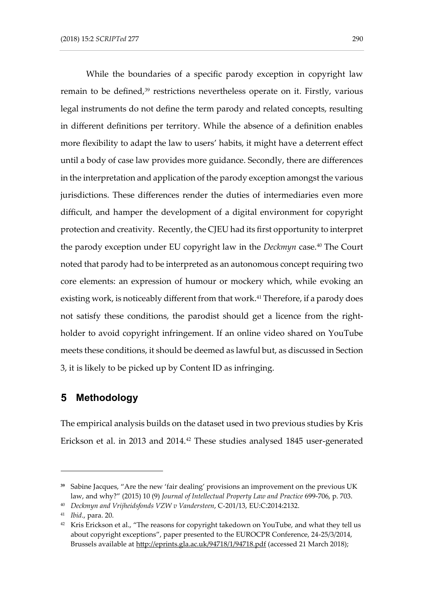While the boundaries of a specific parody exception in copyright law remain to be defined,<sup>39</sup> restrictions nevertheless operate on it. Firstly, various legal instruments do not define the term parody and related concepts, resulting in different definitions per territory. While the absence of a definition enables more flexibility to adapt the law to users' habits, it might have a deterrent effect until a body of case law provides more guidance. Secondly, there are differences in the interpretation and application of the parody exception amongst the various jurisdictions. These differences render the duties of intermediaries even more difficult, and hamper the development of a digital environment for copyright protection and creativity. Recently, the CJEU had its first opportunity to interpret the parody exception under EU copyright law in the *Deckmyn* case.<sup>40</sup> The Court noted that parody had to be interpreted as an autonomous concept requiring two core elements: an expression of humour or mockery which, while evoking an existing work, is noticeably different from that work.<sup>41</sup> Therefore, if a parody does not satisfy these conditions, the parodist should get a licence from the rightholder to avoid copyright infringement. If an online video shared on YouTube meets these conditions, it should be deemed as lawful but, as discussed in Section 3, it is likely to be picked up by Content ID as infringing.

### 5 **Methodology**

The empirical analysis builds on the dataset used in two previous studies by Kris Erickson et al. in 2013 and 2014.<sup>42</sup> These studies analysed 1845 user-generated

**<sup>39</sup>** Sabine Jacques, "Are the new 'fair dealing' provisions an improvement on the previous UK law, and why?" (2015) 10 (9) *Journal of Intellectual Property Law and Practice* 699-706, p. 703.

<sup>40</sup> *Deckmyn and Vrijheidsfonds VZW v Vandersteen*, C-201/13, EU:C:2014:2132.

<sup>41</sup> *Ibid*., para. 20.

<sup>&</sup>lt;sup>42</sup> Kris Erickson et al., "The reasons for copyright takedown on YouTube, and what they tell us about copyright exceptions", paper presented to the EUROCPR Conference, 24-25/3/2014, Brussels available at<http://eprints.gla.ac.uk/94718/1/94718.pdf> (accessed 21 March 2018);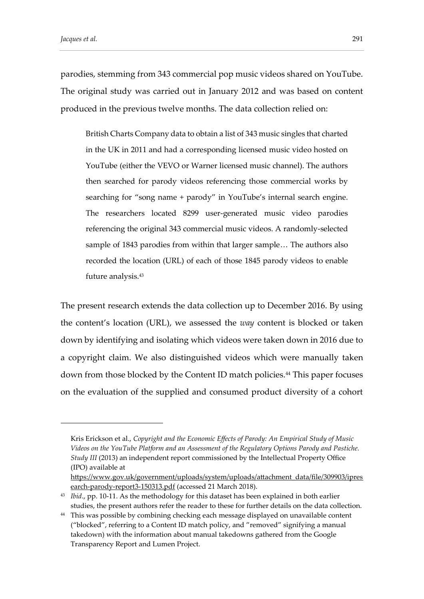parodies, stemming from 343 commercial pop music videos shared on YouTube. The original study was carried out in January 2012 and was based on content produced in the previous twelve months. The data collection relied on:

British Charts Company data to obtain a list of 343 music singles that charted in the UK in 2011 and had a corresponding licensed music video hosted on YouTube (either the VEVO or Warner licensed music channel). The authors then searched for parody videos referencing those commercial works by searching for "song name + parody" in YouTube's internal search engine. The researchers located 8299 user-generated music video parodies referencing the original 343 commercial music videos. A randomly-selected sample of 1843 parodies from within that larger sample… The authors also recorded the location (URL) of each of those 1845 parody videos to enable future analysis.<sup>43</sup>

The present research extends the data collection up to December 2016. By using the content's location (URL), we assessed the *way* content is blocked or taken down by identifying and isolating which videos were taken down in 2016 due to a copyright claim. We also distinguished videos which were manually taken down from those blocked by the Content ID match policies.<sup>44</sup> This paper focuses on the evaluation of the supplied and consumed product diversity of a cohort

Kris Erickson et al., *Copyright and the Economic Effects of Parody: An Empirical Study of Music Videos on the YouTube Platform and an Assessment of the Regulatory Options Parody and Pastiche. Study III* (2013) an independent report commissioned by the Intellectual Property Office (IPO) available at

https://www.gov.uk/government/uploads/system/uploads/attachment\_data/file/309903/ipres earch-parody-report3-150313.pdf (accessed 21 March 2018).

<sup>43</sup> *Ibid*., pp. 10-11. As the methodology for this dataset has been explained in both earlier studies, the present authors refer the reader to these for further details on the data collection.

<sup>44</sup> This was possible by combining checking each message displayed on unavailable content ("blocked", referring to a Content ID match policy, and "removed" signifying a manual takedown) with the information about manual takedowns gathered from the Google Transparency Report and Lumen Project.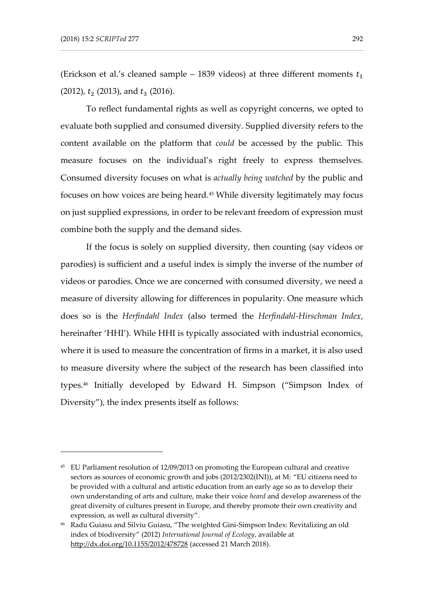(Erickson et al.'s cleaned sample – 1839 videos) at three different moments  $t_1$  $(2012)$ ,  $t<sub>2</sub>$  (2013), and  $t<sub>3</sub>$  (2016).

To reflect fundamental rights as well as copyright concerns, we opted to evaluate both supplied and consumed diversity. Supplied diversity refers to the content available on the platform that *could* be accessed by the public. This measure focuses on the individual's right freely to express themselves. Consumed diversity focuses on what is *actually being watched* by the public and focuses on how voices are being heard.<sup>45</sup> While diversity legitimately may focus on just supplied expressions, in order to be relevant freedom of expression must combine both the supply and the demand sides.

If the focus is solely on supplied diversity, then counting (say videos or parodies) is sufficient and a useful index is simply the inverse of the number of videos or parodies. Once we are concerned with consumed diversity, we need a measure of diversity allowing for differences in popularity. One measure which does so is the *Herfindahl Index* (also termed the *Herfindahl-Hirschman Index*, hereinafter 'HHI'). While HHI is typically associated with industrial economics, where it is used to measure the concentration of firms in a market, it is also used to measure diversity where the subject of the research has been classified into types.<sup>46</sup> Initially developed by Edward H. Simpson ("Simpson Index of Diversity"), the index presents itself as follows:

<sup>&</sup>lt;sup>45</sup> EU Parliament resolution of 12/09/2013 on promoting the European cultural and creative sectors as sources of economic growth and jobs (2012/2302(INI)), at M: "EU citizens need to be provided with a cultural and artistic education from an early age so as to develop their own understanding of arts and culture, make their voice *heard* and develop awareness of the great diversity of cultures present in Europe, and thereby promote their own creativity and expression, as well as cultural diversity".

<sup>&</sup>lt;sup>46</sup> Radu Guiasu and Silviu Guiasu, "The weighted Gini-Simpson Index: Revitalizing an old index of biodiversity" (2012) *International Journal of Ecology*, available at <http://dx.doi.org/10.1155/2012/478728> (accessed 21 March 2018).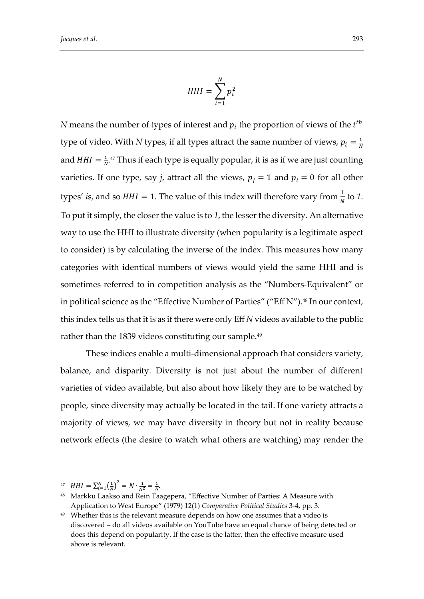$$
HHI = \sum_{i=1}^{N} p_i^2
$$

*N* means the number of types of interest and  $p_i$  the proportion of views of the  $i^{th}$ type of video. With *N* types, if all types attract the same number of views,  $p_i = \frac{1}{N}$ N and  $HHI = \frac{1}{N}$  $\frac{1}{N}$ .<sup>47</sup> Thus if each type is equally popular, it is as if we are just counting varieties. If one type, say *j*, attract all the views,  $p_i = 1$  and  $p_i = 0$  for all other types' *is*, and so *HHI* = 1. The value of this index will therefore vary from  $\frac{1}{N}$  to 1. To put it simply, the closer the value is to *1*, the lesser the diversity. An alternative way to use the HHI to illustrate diversity (when popularity is a legitimate aspect to consider) is by calculating the inverse of the index. This measures how many categories with identical numbers of views would yield the same HHI and is sometimes referred to in competition analysis as the "Numbers-Equivalent" or in political science as the "Effective Number of Parties" ("Eff N").<sup>48</sup> In our context, this index tells us that it is as if there were only Eff *N* videos available to the public rather than the 1839 videos constituting our sample.<sup>49</sup>

These indices enable a multi-dimensional approach that considers variety, balance, and disparity. Diversity is not just about the number of different varieties of video available, but also about how likely they are to be watched by people, since diversity may actually be located in the tail. If one variety attracts a majority of views, we may have diversity in theory but not in reality because network effects (the desire to watch what others are watching) may render the

<sup>&</sup>lt;sup>47</sup>  $HHI = \sum_{i=1}^{N} \left(\frac{1}{N}\right)^2 = N \cdot \frac{1}{N^2} = \frac{1}{N}$ 

<sup>48</sup> Markku Laakso and Rein Taagepera, "Effective Number of Parties: A Measure with Application to West Europe" (1979) 12(1) *Comparative Political Studies* 3-4, pp. 3.

<sup>&</sup>lt;sup>49</sup> Whether this is the relevant measure depends on how one assumes that a video is discovered – do all videos available on YouTube have an equal chance of being detected or does this depend on popularity. If the case is the latter, then the effective measure used above is relevant.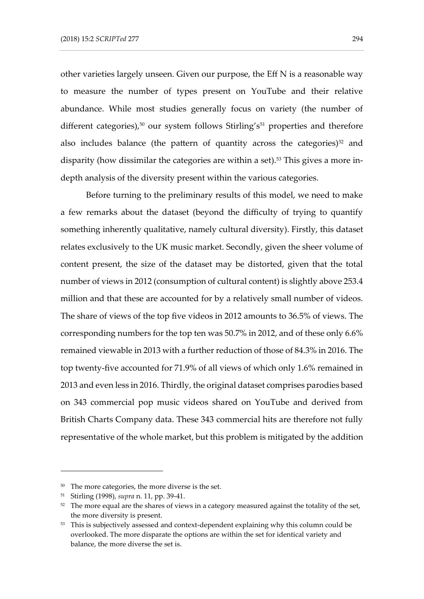other varieties largely unseen. Given our purpose, the Eff N is a reasonable way to measure the number of types present on YouTube and their relative abundance. While most studies generally focus on variety (the number of different categories),<sup>50</sup> our system follows Stirling's <sup>51</sup> properties and therefore also includes balance (the pattern of quantity across the categories) $52$  and disparity (how dissimilar the categories are within a set).<sup>53</sup> This gives a more indepth analysis of the diversity present within the various categories.

Before turning to the preliminary results of this model, we need to make a few remarks about the dataset (beyond the difficulty of trying to quantify something inherently qualitative, namely cultural diversity). Firstly, this dataset relates exclusively to the UK music market. Secondly, given the sheer volume of content present, the size of the dataset may be distorted, given that the total number of views in 2012 (consumption of cultural content) is slightly above 253.4 million and that these are accounted for by a relatively small number of videos. The share of views of the top five videos in 2012 amounts to 36.5% of views. The corresponding numbers for the top ten was 50.7% in 2012, and of these only 6.6% remained viewable in 2013 with a further reduction of those of 84.3% in 2016. The top twenty-five accounted for 71.9% of all views of which only 1.6% remained in 2013 and even less in 2016. Thirdly, the original dataset comprises parodies based on 343 commercial pop music videos shared on YouTube and derived from British Charts Company data. These 343 commercial hits are therefore not fully representative of the whole market, but this problem is mitigated by the addition

<sup>&</sup>lt;sup>50</sup> The more categories, the more diverse is the set.

<sup>51</sup> Stirling (1998), *supra* n. 11, pp. 39-41.

<sup>&</sup>lt;sup>52</sup> The more equal are the shares of views in a category measured against the totality of the set, the more diversity is present.

<sup>&</sup>lt;sup>53</sup> This is subjectively assessed and context-dependent explaining why this column could be overlooked. The more disparate the options are within the set for identical variety and balance, the more diverse the set is.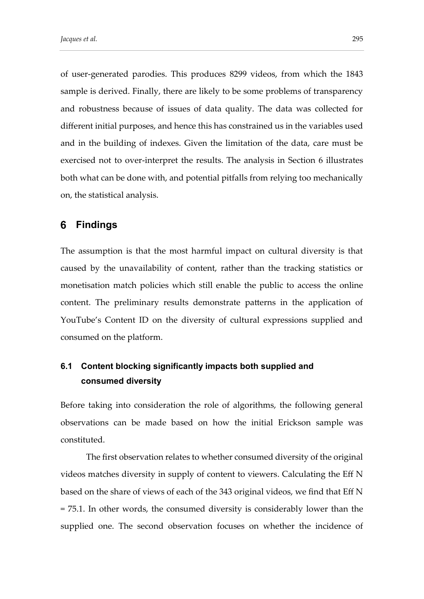of user-generated parodies. This produces 8299 videos, from which the 1843 sample is derived. Finally, there are likely to be some problems of transparency and robustness because of issues of data quality. The data was collected for different initial purposes, and hence this has constrained us in the variables used and in the building of indexes. Given the limitation of the data, care must be exercised not to over-interpret the results. The analysis in Section 6 illustrates both what can be done with, and potential pitfalls from relying too mechanically on, the statistical analysis.

### 6 **Findings**

The assumption is that the most harmful impact on cultural diversity is that caused by the unavailability of content, rather than the tracking statistics or monetisation match policies which still enable the public to access the online content. The preliminary results demonstrate patterns in the application of YouTube's Content ID on the diversity of cultural expressions supplied and consumed on the platform.

## **6.1 Content blocking significantly impacts both supplied and consumed diversity**

Before taking into consideration the role of algorithms, the following general observations can be made based on how the initial Erickson sample was constituted.

The first observation relates to whether consumed diversity of the original videos matches diversity in supply of content to viewers. Calculating the Eff N based on the share of views of each of the 343 original videos, we find that Eff N = 75.1. In other words, the consumed diversity is considerably lower than the supplied one. The second observation focuses on whether the incidence of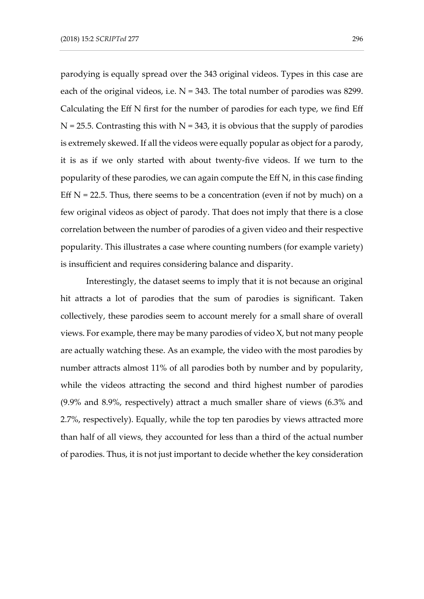parodying is equally spread over the 343 original videos. Types in this case are each of the original videos, i.e.  $N = 343$ . The total number of parodies was 8299. Calculating the Eff N first for the number of parodies for each type, we find Eff  $N = 25.5$ . Contrasting this with  $N = 343$ , it is obvious that the supply of parodies is extremely skewed. If all the videos were equally popular as object for a parody, it is as if we only started with about twenty-five videos. If we turn to the popularity of these parodies, we can again compute the Eff N, in this case finding Eff  $N = 22.5$ . Thus, there seems to be a concentration (even if not by much) on a few original videos as object of parody. That does not imply that there is a close correlation between the number of parodies of a given video and their respective popularity. This illustrates a case where counting numbers (for example variety) is insufficient and requires considering balance and disparity.

Interestingly, the dataset seems to imply that it is not because an original hit attracts a lot of parodies that the sum of parodies is significant. Taken collectively, these parodies seem to account merely for a small share of overall views. For example, there may be many parodies of video X, but not many people are actually watching these. As an example, the video with the most parodies by number attracts almost 11% of all parodies both by number and by popularity, while the videos attracting the second and third highest number of parodies (9.9% and 8.9%, respectively) attract a much smaller share of views (6.3% and 2.7%, respectively). Equally, while the top ten parodies by views attracted more than half of all views, they accounted for less than a third of the actual number of parodies. Thus, it is not just important to decide whether the key consideration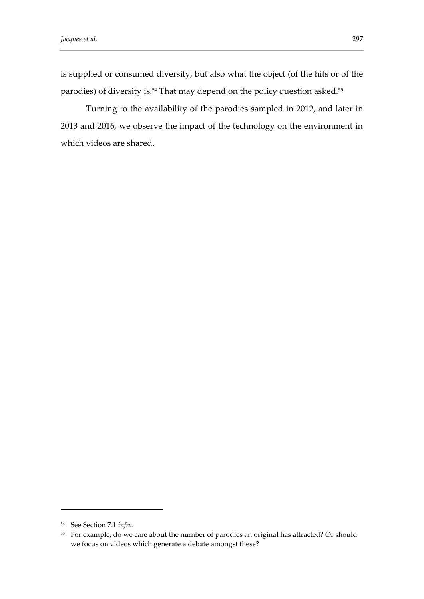is supplied or consumed diversity, but also what the object (of the hits or of the parodies) of diversity is. <sup>54</sup> That may depend on the policy question asked.<sup>55</sup>

Turning to the availability of the parodies sampled in 2012, and later in 2013 and 2016, we observe the impact of the technology on the environment in which videos are shared.

<sup>54</sup> See Section 7.1 *infra*.

<sup>&</sup>lt;sup>55</sup> For example, do we care about the number of parodies an original has attracted? Or should we focus on videos which generate a debate amongst these?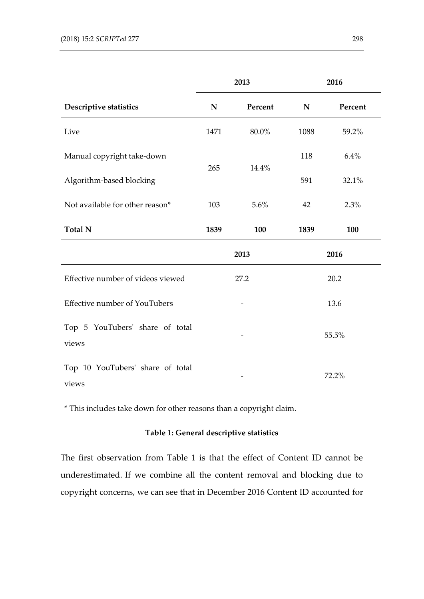|                                           | 2013         |         | 2016  |         |
|-------------------------------------------|--------------|---------|-------|---------|
| Descriptive statistics                    | $\mathbf N$  | Percent | N     | Percent |
| Live                                      | 1471         | 80.0%   | 1088  | 59.2%   |
| Manual copyright take-down                |              |         | 118   | 6.4%    |
| Algorithm-based blocking                  | 265<br>14.4% |         | 591   | 32.1%   |
| Not available for other reason*           | 103          | 5.6%    | 42    | 2.3%    |
| <b>Total N</b>                            | 1839         | 100     | 1839  | 100     |
|                                           | 2013         |         | 2016  |         |
| Effective number of videos viewed         | 27.2         |         | 20.2  |         |
| <b>Effective number of YouTubers</b>      |              |         | 13.6  |         |
| Top 5 YouTubers' share of total<br>views  |              |         | 55.5% |         |
| Top 10 YouTubers' share of total<br>views |              |         | 72.2% |         |

\* This includes take down for other reasons than a copyright claim.

## **Table 1: General descriptive statistics**

The first observation from Table 1 is that the effect of Content ID cannot be underestimated. If we combine all the content removal and blocking due to copyright concerns, we can see that in December 2016 Content ID accounted for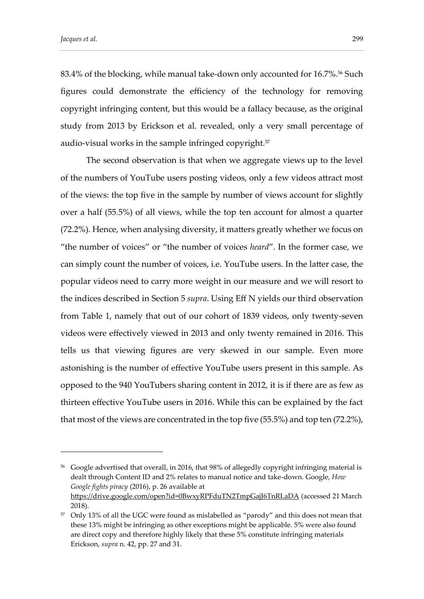83.4% of the blocking, while manual take-down only accounted for 16.7%.<sup>56</sup> Such figures could demonstrate the efficiency of the technology for removing copyright infringing content, but this would be a fallacy because, as the original study from 2013 by Erickson et al. revealed, only a very small percentage of audio-visual works in the sample infringed copyright.<sup>57</sup>

The second observation is that when we aggregate views up to the level of the numbers of YouTube users posting videos, only a few videos attract most of the views: the top five in the sample by number of views account for slightly over a half (55.5%) of all views, while the top ten account for almost a quarter (72.2%). Hence, when analysing diversity, it matters greatly whether we focus on "the number of voices" or "the number of voices *heard*". In the former case, we can simply count the number of voices, i.e. YouTube users. In the latter case, the popular videos need to carry more weight in our measure and we will resort to the indices described in Section 5 *supra*. Using Eff N yields our third observation from Table 1, namely that out of our cohort of 1839 videos, only twenty-seven videos were effectively viewed in 2013 and only twenty remained in 2016. This tells us that viewing figures are very skewed in our sample. Even more astonishing is the number of effective YouTube users present in this sample. As opposed to the 940 YouTubers sharing content in 2012, it is if there are as few as thirteen effective YouTube users in 2016. While this can be explained by the fact that most of the views are concentrated in the top five (55.5%) and top ten (72.2%),

<sup>&</sup>lt;sup>56</sup> Google advertised that overall, in 2016, that 98% of allegedly copyright infringing material is dealt through Content ID and 2% relates to manual notice and take-down. Google, *How Google fights piracy* (2016), p. 26 available at <https://drive.google.com/open?id=0BwxyRPFduTN2TmpGajJ6TnRLaDA> (accessed 21 March 2018).

<sup>57</sup> Only 13% of all the UGC were found as mislabelled as "parody" and this does not mean that these 13% might be infringing as other exceptions might be applicable. 5% were also found are direct copy and therefore highly likely that these 5% constitute infringing materials Erickson, *supra* n. 42, pp. 27 and 31.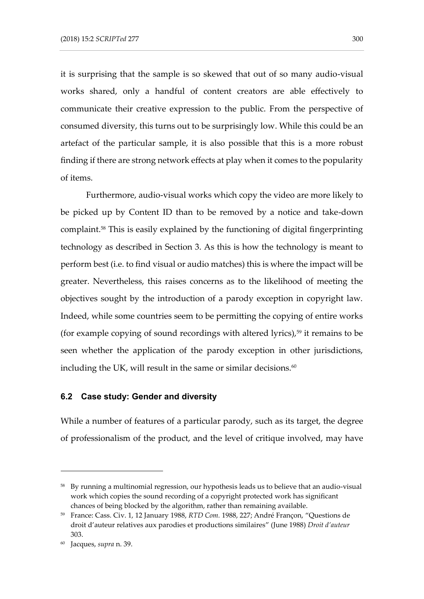it is surprising that the sample is so skewed that out of so many audio-visual works shared, only a handful of content creators are able effectively to communicate their creative expression to the public. From the perspective of consumed diversity, this turns out to be surprisingly low. While this could be an artefact of the particular sample, it is also possible that this is a more robust finding if there are strong network effects at play when it comes to the popularity of items.

Furthermore, audio-visual works which copy the video are more likely to be picked up by Content ID than to be removed by a notice and take-down complaint.<sup>58</sup> This is easily explained by the functioning of digital fingerprinting technology as described in Section 3. As this is how the technology is meant to perform best (i.e. to find visual or audio matches) this is where the impact will be greater. Nevertheless, this raises concerns as to the likelihood of meeting the objectives sought by the introduction of a parody exception in copyright law. Indeed, while some countries seem to be permitting the copying of entire works (for example copying of sound recordings with altered lyrics), $59$  it remains to be seen whether the application of the parody exception in other jurisdictions, including the UK, will result in the same or similar decisions. $^{\rm 60}$ 

## **6.2 Case study: Gender and diversity**

While a number of features of a particular parody, such as its target, the degree of professionalism of the product, and the level of critique involved, may have

<sup>&</sup>lt;sup>58</sup> By running a multinomial regression, our hypothesis leads us to believe that an audio-visual work which copies the sound recording of a copyright protected work has significant chances of being blocked by the algorithm, rather than remaining available.

<sup>59</sup> France: Cass. Civ. 1, 12 January 1988, *RTD Com.* 1988, 227; André Françon, "Questions de droit d'auteur relatives aux parodies et productions similaires" (June 1988) *Droit d'auteur* 303.

<sup>60</sup> Jacques, *supra* n. 39.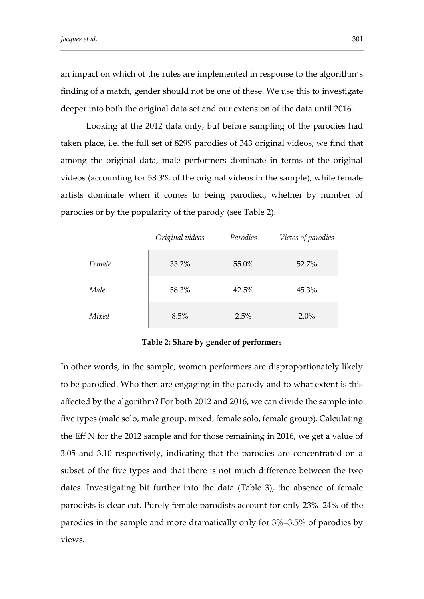an impact on which of the rules are implemented in response to the algorithm's finding of a match, gender should not be one of these. We use this to investigate deeper into both the original data set and our extension of the data until 2016.

Looking at the 2012 data only, but before sampling of the parodies had taken place, i.e. the full set of 8299 parodies of 343 original videos, we find that among the original data, male performers dominate in terms of the original videos (accounting for 58.3% of the original videos in the sample), while female artists dominate when it comes to being parodied, whether by number of parodies or by the popularity of the parody (see Table 2).

|        | Original videos | Parodies | Views of parodies |
|--------|-----------------|----------|-------------------|
| Female | 33.2%           | 55.0%    | 52.7%             |
| Male   | 58.3%           | 42.5%    | 45.3%             |
| Mixed  | 8.5%            | 2.5%     | 2.0%              |

**Table 2: Share by gender of performers**

In other words, in the sample, women performers are disproportionately likely to be parodied. Who then are engaging in the parody and to what extent is this affected by the algorithm? For both 2012 and 2016, we can divide the sample into five types (male solo, male group, mixed, female solo, female group). Calculating the Eff N for the 2012 sample and for those remaining in 2016, we get a value of 3.05 and 3.10 respectively, indicating that the parodies are concentrated on a subset of the five types and that there is not much difference between the two dates. Investigating bit further into the data (Table 3), the absence of female parodists is clear cut. Purely female parodists account for only 23%–24% of the parodies in the sample and more dramatically only for 3%–3.5% of parodies by views.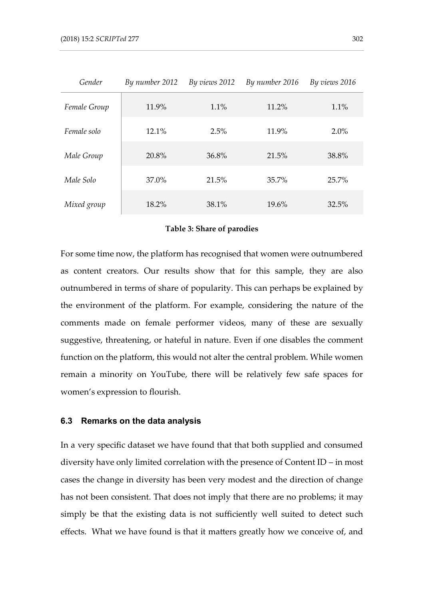| Gender       | By number 2012 | By views 2012 | By number 2016 | By views 2016 |
|--------------|----------------|---------------|----------------|---------------|
| Female Group | 11.9%          | 1.1%          | 11.2%          | 1.1%          |
| Female solo  | 12.1%          | 2.5%          | 11.9%          | 2.0%          |
| Male Group   | 20.8%          | 36.8%         | 21.5%          | 38.8%         |
| Male Solo    | 37.0%          | 21.5%         | 35.7%          | 25.7%         |
| Mixed group  | 18.2%          | 38.1%         | 19.6%          | 32.5%         |

## **Table 3: Share of parodies**

For some time now, the platform has recognised that women were outnumbered as content creators. Our results show that for this sample, they are also outnumbered in terms of share of popularity. This can perhaps be explained by the environment of the platform. For example, considering the nature of the comments made on female performer videos, many of these are sexually suggestive, threatening, or hateful in nature. Even if one disables the comment function on the platform, this would not alter the central problem. While women remain a minority on YouTube, there will be relatively few safe spaces for women's expression to flourish.

### **6.3 Remarks on the data analysis**

In a very specific dataset we have found that that both supplied and consumed diversity have only limited correlation with the presence of Content ID – in most cases the change in diversity has been very modest and the direction of change has not been consistent. That does not imply that there are no problems; it may simply be that the existing data is not sufficiently well suited to detect such effects. What we have found is that it matters greatly how we conceive of, and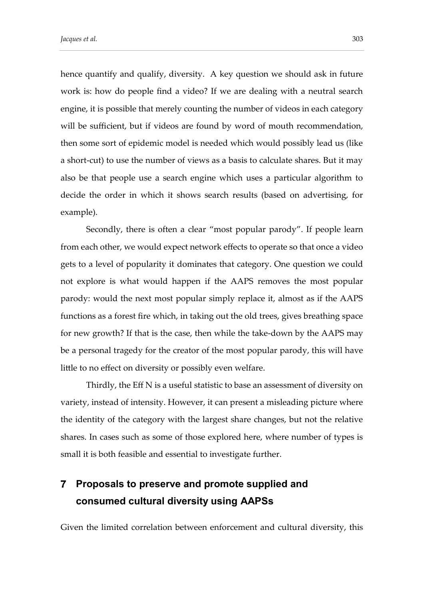hence quantify and qualify, diversity. A key question we should ask in future work is: how do people find a video? If we are dealing with a neutral search engine, it is possible that merely counting the number of videos in each category will be sufficient, but if videos are found by word of mouth recommendation, then some sort of epidemic model is needed which would possibly lead us (like a short-cut) to use the number of views as a basis to calculate shares. But it may also be that people use a search engine which uses a particular algorithm to decide the order in which it shows search results (based on advertising, for example).

Secondly, there is often a clear "most popular parody". If people learn from each other, we would expect network effects to operate so that once a video gets to a level of popularity it dominates that category. One question we could not explore is what would happen if the AAPS removes the most popular parody: would the next most popular simply replace it, almost as if the AAPS functions as a forest fire which, in taking out the old trees, gives breathing space for new growth? If that is the case, then while the take-down by the AAPS may be a personal tragedy for the creator of the most popular parody, this will have little to no effect on diversity or possibly even welfare.

Thirdly, the Eff N is a useful statistic to base an assessment of diversity on variety, instead of intensity. However, it can present a misleading picture where the identity of the category with the largest share changes, but not the relative shares. In cases such as some of those explored here, where number of types is small it is both feasible and essential to investigate further.

## **Proposals to preserve and promote supplied and**  7 **consumed cultural diversity using AAPSs**

Given the limited correlation between enforcement and cultural diversity, this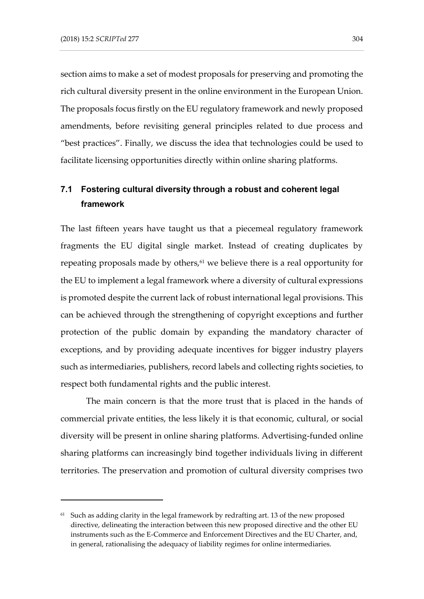section aims to make a set of modest proposals for preserving and promoting the rich cultural diversity present in the online environment in the European Union. The proposals focus firstly on the EU regulatory framework and newly proposed amendments, before revisiting general principles related to due process and "best practices". Finally, we discuss the idea that technologies could be used to facilitate licensing opportunities directly within online sharing platforms.

## **7.1 Fostering cultural diversity through a robust and coherent legal framework**

The last fifteen years have taught us that a piecemeal regulatory framework fragments the EU digital single market. Instead of creating duplicates by repeating proposals made by others, $61$  we believe there is a real opportunity for the EU to implement a legal framework where a diversity of cultural expressions is promoted despite the current lack of robust international legal provisions. This can be achieved through the strengthening of copyright exceptions and further protection of the public domain by expanding the mandatory character of exceptions, and by providing adequate incentives for bigger industry players such as intermediaries, publishers, record labels and collecting rights societies, to respect both fundamental rights and the public interest.

The main concern is that the more trust that is placed in the hands of commercial private entities, the less likely it is that economic, cultural, or social diversity will be present in online sharing platforms. Advertising-funded online sharing platforms can increasingly bind together individuals living in different territories. The preservation and promotion of cultural diversity comprises two

 $61$  Such as adding clarity in the legal framework by redrafting art. 13 of the new proposed directive, delineating the interaction between this new proposed directive and the other EU instruments such as the E-Commerce and Enforcement Directives and the EU Charter, and, in general, rationalising the adequacy of liability regimes for online intermediaries.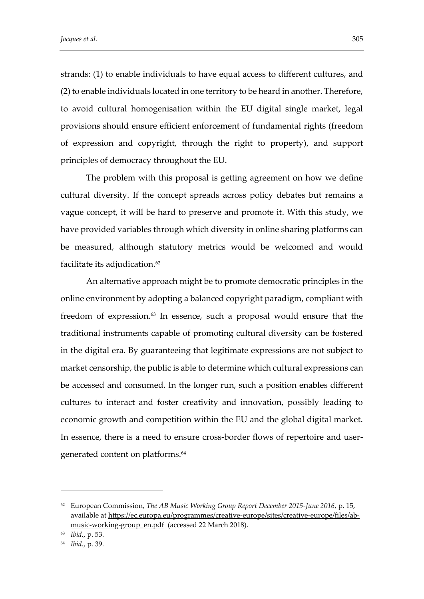strands: (1) to enable individuals to have equal access to different cultures, and (2) to enable individuals located in one territory to be heard in another. Therefore, to avoid cultural homogenisation within the EU digital single market, legal provisions should ensure efficient enforcement of fundamental rights (freedom of expression and copyright, through the right to property), and support principles of democracy throughout the EU.

The problem with this proposal is getting agreement on how we define cultural diversity. If the concept spreads across policy debates but remains a vague concept, it will be hard to preserve and promote it. With this study, we have provided variables through which diversity in online sharing platforms can be measured, although statutory metrics would be welcomed and would facilitate its adjudication.<sup>62</sup>

An alternative approach might be to promote democratic principles in the online environment by adopting a balanced copyright paradigm, compliant with freedom of expression.<sup>63</sup> In essence, such a proposal would ensure that the traditional instruments capable of promoting cultural diversity can be fostered in the digital era. By guaranteeing that legitimate expressions are not subject to market censorship, the public is able to determine which cultural expressions can be accessed and consumed. In the longer run, such a position enables different cultures to interact and foster creativity and innovation, possibly leading to economic growth and competition within the EU and the global digital market. In essence, there is a need to ensure cross-border flows of repertoire and usergenerated content on platforms.<sup>64</sup>

<sup>62</sup> European Commission, *The AB Music Working Group Report December 2015-June 2016*, p. 15, available at [https://ec.europa.eu/programmes/creative-europe/sites/creative-europe/files/ab](https://ec.europa.eu/programmes/creative-europe/sites/creative-europe/files/ab-music-working-group_en.pdf)[music-working-group\\_en.pdf](https://ec.europa.eu/programmes/creative-europe/sites/creative-europe/files/ab-music-working-group_en.pdf) (accessed 22 March 2018).

<sup>63</sup> *Ibid.*, p. 53.

<sup>64</sup> *Ibid.*, p. 39.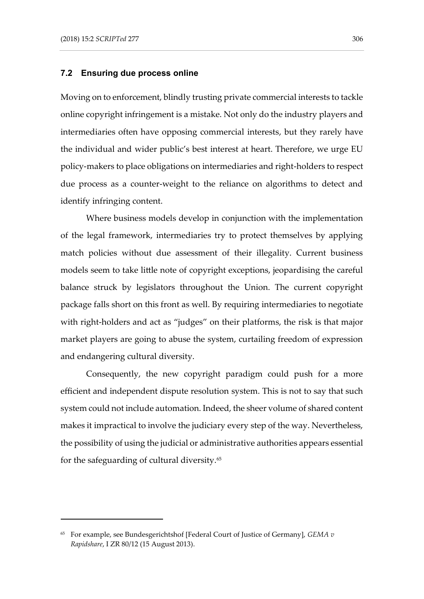### **7.2 Ensuring due process online**

Moving on to enforcement, blindly trusting private commercial interests to tackle online copyright infringement is a mistake. Not only do the industry players and intermediaries often have opposing commercial interests, but they rarely have the individual and wider public's best interest at heart. Therefore, we urge EU policy-makers to place obligations on intermediaries and right-holders to respect due process as a counter-weight to the reliance on algorithms to detect and identify infringing content.

Where business models develop in conjunction with the implementation of the legal framework, intermediaries try to protect themselves by applying match policies without due assessment of their illegality. Current business models seem to take little note of copyright exceptions, jeopardising the careful balance struck by legislators throughout the Union. The current copyright package falls short on this front as well. By requiring intermediaries to negotiate with right-holders and act as "judges" on their platforms, the risk is that major market players are going to abuse the system, curtailing freedom of expression and endangering cultural diversity.

Consequently, the new copyright paradigm could push for a more efficient and independent dispute resolution system. This is not to say that such system could not include automation. Indeed, the sheer volume of shared content makes it impractical to involve the judiciary every step of the way. Nevertheless, the possibility of using the judicial or administrative authorities appears essential for the safeguarding of cultural diversity.<sup>65</sup>

<sup>65</sup> For example, see Bundesgerichtshof [Federal Court of Justice of Germany], *GEMA v Rapidshare*, I ZR 80/12 (15 August 2013).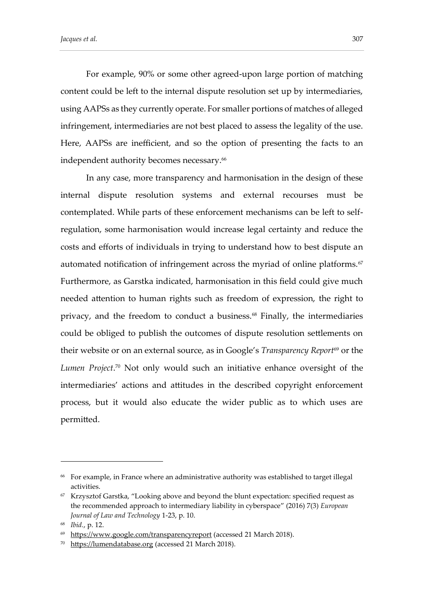For example, 90% or some other agreed-upon large portion of matching content could be left to the internal dispute resolution set up by intermediaries, using AAPSs as they currently operate. For smaller portions of matches of alleged infringement, intermediaries are not best placed to assess the legality of the use. Here, AAPSs are inefficient, and so the option of presenting the facts to an independent authority becomes necessary. 66

In any case, more transparency and harmonisation in the design of these internal dispute resolution systems and external recourses must be contemplated. While parts of these enforcement mechanisms can be left to selfregulation, some harmonisation would increase legal certainty and reduce the costs and efforts of individuals in trying to understand how to best dispute an automated notification of infringement across the myriad of online platforms.<sup>67</sup> Furthermore, as Garstka indicated, harmonisation in this field could give much needed attention to human rights such as freedom of expression, the right to privacy, and the freedom to conduct a business.<sup>68</sup> Finally, the intermediaries could be obliged to publish the outcomes of dispute resolution settlements on their website or on an external source, as in Google's *Transparency Report*<sup>69</sup> or the *Lumen Project*. <sup>70</sup> Not only would such an initiative enhance oversight of the intermediaries' actions and attitudes in the described copyright enforcement process, but it would also educate the wider public as to which uses are permitted.

<sup>66</sup> For example, in France where an administrative authority was established to target illegal activities.

 $67$  Krzysztof Garstka, "Looking above and beyond the blunt expectation: specified request as the recommended approach to intermediary liability in cyberspace" (2016) 7(3) *European Journal of Law and Technology* 1-23, p. 10.

<sup>68</sup> *Ibid.*, p. 12.

<sup>69</sup> <https://www.google.com/transparencyreport> (accessed 21 March 2018).

<sup>70</sup> [https://lumendatabase.org](https://lumendatabase.org/) (accessed 21 March 2018).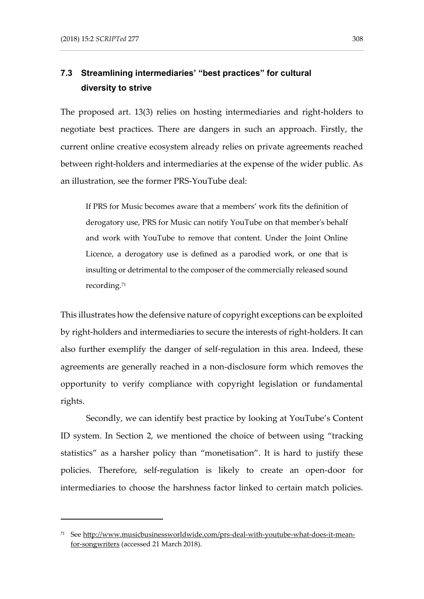## **7.3 Streamlining intermediaries' "best practices" for cultural diversity to strive**

The proposed art. 13(3) relies on hosting intermediaries and right-holders to negotiate best practices. There are dangers in such an approach. Firstly, the current online creative ecosystem already relies on private agreements reached between right-holders and intermediaries at the expense of the wider public. As an illustration, see the former PRS-YouTube deal:

If PRS for Music becomes aware that a members' work fits the definition of derogatory use, PRS for Music can notify YouTube on that member's behalf and work with YouTube to remove that content. Under the Joint Online Licence, a derogatory use is defined as a parodied work, or one that is insulting or detrimental to the composer of the commercially released sound recording.<sup>71</sup>

This illustrates how the defensive nature of copyright exceptions can be exploited by right-holders and intermediaries to secure the interests of right-holders. It can also further exemplify the danger of self-regulation in this area. Indeed, these agreements are generally reached in a non-disclosure form which removes the opportunity to verify compliance with copyright legislation or fundamental rights.

Secondly, we can identify best practice by looking at YouTube's Content ID system. In Section 2, we mentioned the choice of between using "tracking statistics" as a harsher policy than "monetisation". It is hard to justify these policies. Therefore, self-regulation is likely to create an open-door for intermediaries to choose the harshness factor linked to certain match policies.

<sup>71</sup> Se[e http://www.musicbusinessworldwide.com/prs-deal-with-youtube-what-does-it-mean](http://www.musicbusinessworldwide.com/prs-deal-with-youtube-what-does-it-mean-for-songwriters)[for-songwriters](http://www.musicbusinessworldwide.com/prs-deal-with-youtube-what-does-it-mean-for-songwriters) (accessed 21 March 2018).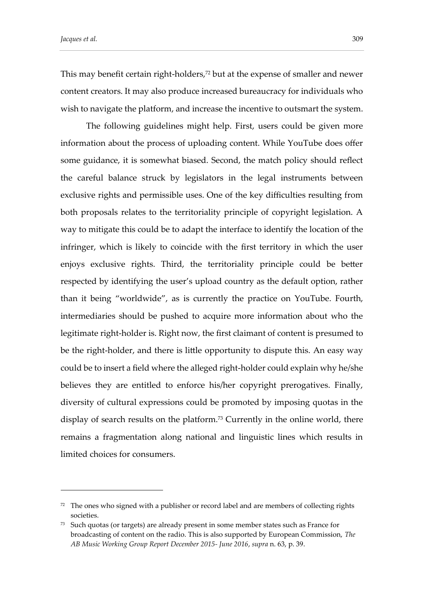This may benefit certain right-holders,<sup>72</sup> but at the expense of smaller and newer content creators. It may also produce increased bureaucracy for individuals who wish to navigate the platform, and increase the incentive to outsmart the system.

The following guidelines might help. First, users could be given more information about the process of uploading content. While YouTube does offer some guidance, it is somewhat biased. Second, the match policy should reflect the careful balance struck by legislators in the legal instruments between exclusive rights and permissible uses. One of the key difficulties resulting from both proposals relates to the territoriality principle of copyright legislation. A way to mitigate this could be to adapt the interface to identify the location of the infringer, which is likely to coincide with the first territory in which the user enjoys exclusive rights. Third, the territoriality principle could be better respected by identifying the user's upload country as the default option, rather than it being "worldwide", as is currently the practice on YouTube. Fourth, intermediaries should be pushed to acquire more information about who the legitimate right-holder is. Right now, the first claimant of content is presumed to be the right-holder, and there is little opportunity to dispute this. An easy way could be to insert a field where the alleged right-holder could explain why he/she believes they are entitled to enforce his/her copyright prerogatives. Finally, diversity of cultural expressions could be promoted by imposing quotas in the display of search results on the platform.<sup>73</sup> Currently in the online world, there remains a fragmentation along national and linguistic lines which results in limited choices for consumers.

<sup>&</sup>lt;sup>72</sup> The ones who signed with a publisher or record label and are members of collecting rights societies.

 $73$  Such quotas (or targets) are already present in some member states such as France for broadcasting of content on the radio. This is also supported by European Commission, *The AB Music Working Group Report December 2015- June 2016*, *supra* n. 63, p. 39.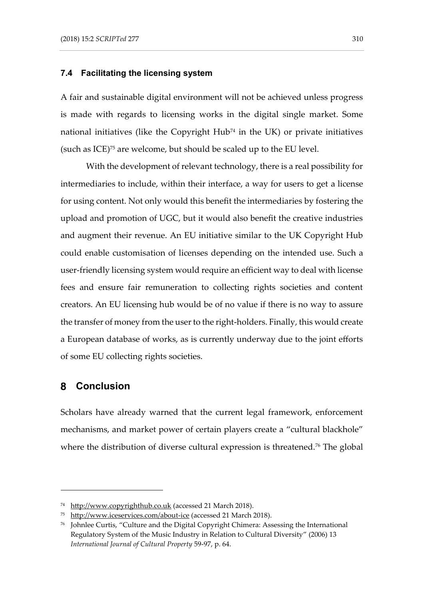### **7.4 Facilitating the licensing system**

A fair and sustainable digital environment will not be achieved unless progress is made with regards to licensing works in the digital single market. Some national initiatives (like the Copyright Hub $74$  in the UK) or private initiatives (such as ICE)<sup>75</sup> are welcome, but should be scaled up to the EU level.

With the development of relevant technology, there is a real possibility for intermediaries to include, within their interface, a way for users to get a license for using content. Not only would this benefit the intermediaries by fostering the upload and promotion of UGC, but it would also benefit the creative industries and augment their revenue. An EU initiative similar to the UK Copyright Hub could enable customisation of licenses depending on the intended use. Such a user-friendly licensing system would require an efficient way to deal with license fees and ensure fair remuneration to collecting rights societies and content creators. An EU licensing hub would be of no value if there is no way to assure the transfer of money from the user to the right-holders. Finally, this would create a European database of works, as is currently underway due to the joint efforts of some EU collecting rights societies.

### **Conclusion** 8

-

Scholars have already warned that the current legal framework, enforcement mechanisms, and market power of certain players create a "cultural blackhole" where the distribution of diverse cultural expression is threatened.<sup>76</sup> The global

<sup>&</sup>lt;sup>74</sup> [http://www.copyrighthub.co.uk](http://www.copyrighthub.co.uk/) (accessed 21 March 2018).

<sup>75</sup> <http://www.iceservices.com/about-ice> (accessed 21 March 2018).

<sup>76</sup> Johnlee Curtis, "Culture and the Digital Copyright Chimera: Assessing the International Regulatory System of the Music Industry in Relation to Cultural Diversity" (2006) 13 *International Journal of Cultural Property* 59-97, p. 64.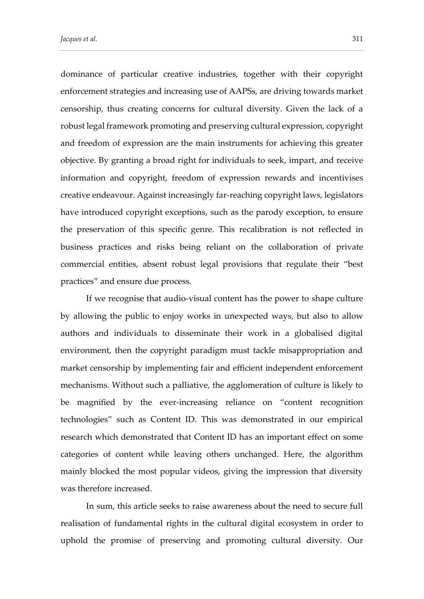dominance of particular creative industries, together with their copyright enforcement strategies and increasing use of AAPSs, are driving towards market censorship, thus creating concerns for cultural diversity. Given the lack of a robust legal framework promoting and preserving cultural expression, copyright and freedom of expression are the main instruments for achieving this greater objective. By granting a broad right for individuals to seek, impart, and receive information and copyright, freedom of expression rewards and incentivises creative endeavour. Against increasingly far-reaching copyright laws, legislators have introduced copyright exceptions, such as the parody exception, to ensure the preservation of this specific genre. This recalibration is not reflected in business practices and risks being reliant on the collaboration of private commercial entities, absent robust legal provisions that regulate their "best practices" and ensure due process.

If we recognise that audio-visual content has the power to shape culture by allowing the public to enjoy works in unexpected ways, but also to allow authors and individuals to disseminate their work in a globalised digital environment, then the copyright paradigm must tackle misappropriation and market censorship by implementing fair and efficient independent enforcement mechanisms. Without such a palliative, the agglomeration of culture is likely to be magnified by the ever-increasing reliance on "content recognition technologies" such as Content ID. This was demonstrated in our empirical research which demonstrated that Content ID has an important effect on some categories of content while leaving others unchanged. Here, the algorithm mainly blocked the most popular videos, giving the impression that diversity was therefore increased.

In sum, this article seeks to raise awareness about the need to secure full realisation of fundamental rights in the cultural digital ecosystem in order to uphold the promise of preserving and promoting cultural diversity. Our